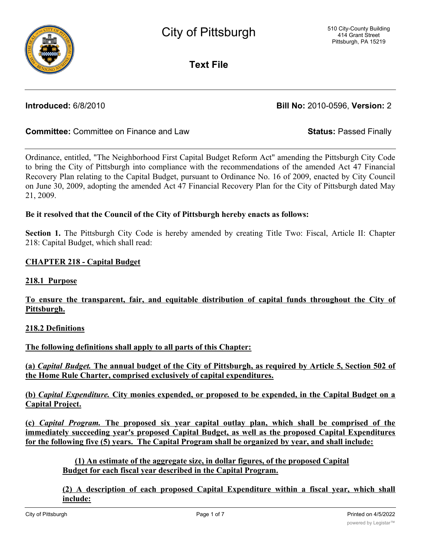

**Text File**

**Introduced:** 6/8/2010 **Bill No:** 2010-0596, **Version:** 2

# **Committee:** Committee on Finance and Law **Status:** Passed Finally

Ordinance, entitled, "The Neighborhood First Capital Budget Reform Act" amending the Pittsburgh City Code to bring the City of Pittsburgh into compliance with the recommendations of the amended Act 47 Financial Recovery Plan relating to the Capital Budget, pursuant to Ordinance No. 16 of 2009, enacted by City Council on June 30, 2009, adopting the amended Act 47 Financial Recovery Plan for the City of Pittsburgh dated May 21, 2009.

# **Be it resolved that the Council of the City of Pittsburgh hereby enacts as follows:**

**Section 1.** The Pittsburgh City Code is hereby amended by creating Title Two: Fiscal, Article II: Chapter 218: Capital Budget, which shall read:

# **CHAPTER 218 - Capital Budget**

### **218.1 Purpose**

# **To ensure the transparent, fair, and equitable distribution of capital funds throughout the City of Pittsburgh.**

### **218.2 Definitions**

**The following definitions shall apply to all parts of this Chapter:**

(a) Capital Budget. The annual budget of the City of Pittsburgh, as required by Article 5, Section 502 of **the Home Rule Charter, comprised exclusively of capital expenditures.**

**(b)** *Capital Expenditure.* **City monies expended, or proposed to be expended, in the Capital Budget on a Capital Project.**

**(c)** *Capital Program.* **The proposed six year capital outlay plan, which shall be comprised of the immediately succeeding year's proposed Capital Budget, as well as the proposed Capital Expenditures for the following five (5) years. The Capital Program shall be organized by year, and shall include:**

**(1) An estimate of the aggregate size, in dollar figures, of the proposed Capital Budget for each fiscal year described in the Capital Program.**

**(2) A description of each proposed Capital Expenditure within a fiscal year, which shall include:**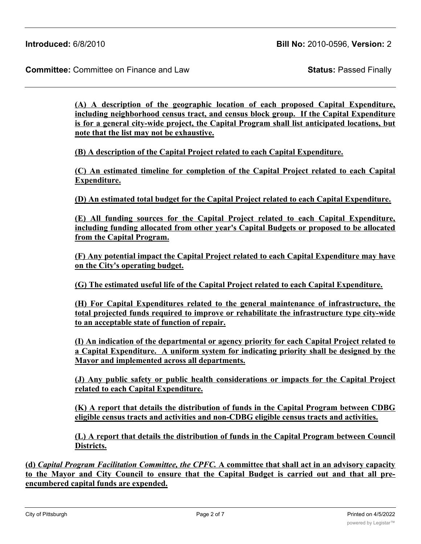**(A) A description of the geographic location of each proposed Capital Expenditure, including neighborhood census tract, and census block group. If the Capital Expenditure is for a general city-wide project, the Capital Program shall list anticipated locations, but note that the list may not be exhaustive.**

**(B) A description of the Capital Project related to each Capital Expenditure.**

**(C) An estimated timeline for completion of the Capital Project related to each Capital Expenditure.**

**(D) An estimated total budget for the Capital Project related to each Capital Expenditure.**

**(E) All funding sources for the Capital Project related to each Capital Expenditure, including funding allocated from other year's Capital Budgets or proposed to be allocated from the Capital Program.**

**(F) Any potential impact the Capital Project related to each Capital Expenditure may have on the City's operating budget.**

**(G) The estimated useful life of the Capital Project related to each Capital Expenditure.**

**(H) For Capital Expenditures related to the general maintenance of infrastructure, the total projected funds required to improve or rehabilitate the infrastructure type city-wide to an acceptable state of function of repair.**

**(I) An indication of the departmental or agency priority for each Capital Project related to a Capital Expenditure. A uniform system for indicating priority shall be designed by the Mayor and implemented across all departments.**

**(J) Any public safety or public health considerations or impacts for the Capital Project related to each Capital Expenditure.**

**(K) A report that details the distribution of funds in the Capital Program between CDBG eligible census tracts and activities and non-CDBG eligible census tracts and activities.**

**(L) A report that details the distribution of funds in the Capital Program between Council Districts.**

**(d)** *Capital Program Facilitation Committee, the CPFC.* **A committee that shall act in an advisory capacity** to the Mayor and City Council to ensure that the Capital Budget is carried out and that all pre**encumbered capital funds are expended.**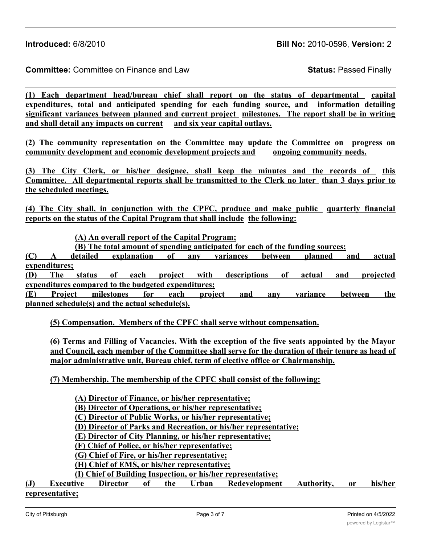**Introduced:** 6/8/2010 **Bill No:** 2010-0596, **Version:** 2

**Committee:** Committee on Finance and Law **Status:** Passed Finally

**(1) Each department head/bureau chief shall report on the status of departmental capital expenditures, total and anticipated spending for each funding source, and information detailing significant variances between planned and current project milestones. The report shall be in writing and shall detail any impacts on current and six year capital outlays.**

**(2) The community representation on the Committee may update the Committee on progress on community development and economic development projects and ongoing community needs.**

**(3) The City Clerk, or his/her designee, shall keep the minutes and the records of this Committee. All departmental reports shall be transmitted to the Clerk no later than 3 days prior to the scheduled meetings.**

**(4) The City shall, in conjunction with the CPFC, produce and make public quarterly financial reports on the status of the Capital Program that shall include the following:**

**(A) An overall report of the Capital Program;**

**(B) The total amount of spending anticipated for each of the funding sources;**

**(C) A detailed explanation of any variances between planned and actual expenditures;**

**(D) The status of each project with descriptions of actual and projected expenditures compared to the budgeted expenditures;**

**(E) Project milestones for each project and any variance between the planned schedule(s) and the actual schedule(s).**

**(5) Compensation. Members of the CPFC shall serve without compensation.**

**(6) Terms and Filling of Vacancies. With the exception of the five seats appointed by the Mayor and Council, each member of the Committee shall serve for the duration of their tenure as head of major administrative unit, Bureau chief, term of elective office or Chairmanship.**

**(7) Membership. The membership of the CPFC shall consist of the following:**

**(A) Director of Finance, or his/her representative;**

**(B) Director of Operations, or his/her representative;**

**(C) Director of Public Works, or his/her representative;**

**(D) Director of Parks and Recreation, or his/her representative;**

**(E) Director of City Planning, or his/her representative;**

**(F) Chief of Police, or his/her representative;**

**(G) Chief of Fire, or his/her representative;**

**(H) Chief of EMS, or his/her representative;**

**(I) Chief of Building Inspection, or his/her representative;**

**(J) Executive Director of the Urban Redevelopment Authority, or his/her representative;**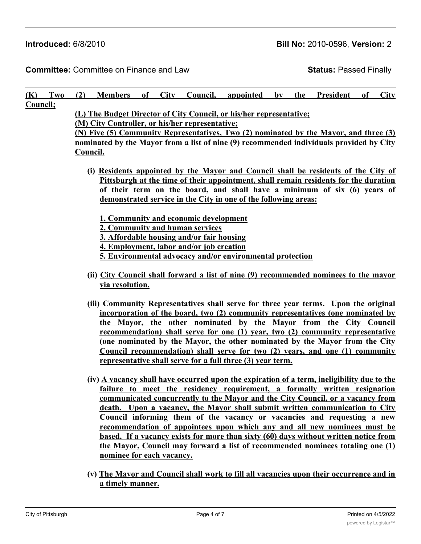**Introduced:** 6/8/2010 **Bill No:** 2010-0596, **Version:** 2

**Committee:** Committee on Finance and Law **Status:** Passed Finally

|                                                                                                                                                          | $(K)$ Two        |                                                                                                                                                                            |  |  |  |  | (2) Members of City Council, appointed                                                                                                                        |  |  | by the President | of | <b>City</b> |
|----------------------------------------------------------------------------------------------------------------------------------------------------------|------------------|----------------------------------------------------------------------------------------------------------------------------------------------------------------------------|--|--|--|--|---------------------------------------------------------------------------------------------------------------------------------------------------------------|--|--|------------------|----|-------------|
| Council;                                                                                                                                                 |                  |                                                                                                                                                                            |  |  |  |  |                                                                                                                                                               |  |  |                  |    |             |
|                                                                                                                                                          |                  | (L) The Budget Director of City Council, or his/her representative;                                                                                                        |  |  |  |  |                                                                                                                                                               |  |  |                  |    |             |
|                                                                                                                                                          |                  | (M) City Controller, or his/her representative;                                                                                                                            |  |  |  |  |                                                                                                                                                               |  |  |                  |    |             |
|                                                                                                                                                          |                  | (N) Five (5) Community Representatives, Two (2) nominated by the Mayor, and three (3)                                                                                      |  |  |  |  |                                                                                                                                                               |  |  |                  |    |             |
|                                                                                                                                                          |                  | nominated by the Mayor from a list of nine (9) recommended individuals provided by City                                                                                    |  |  |  |  |                                                                                                                                                               |  |  |                  |    |             |
|                                                                                                                                                          |                  | Council.                                                                                                                                                                   |  |  |  |  |                                                                                                                                                               |  |  |                  |    |             |
|                                                                                                                                                          |                  | (i) Residents appointed by the Mayor and Council shall be residents of the City of<br>Pittsburgh at the time of their appointment, shall remain residents for the duration |  |  |  |  |                                                                                                                                                               |  |  |                  |    |             |
|                                                                                                                                                          |                  |                                                                                                                                                                            |  |  |  |  |                                                                                                                                                               |  |  |                  |    |             |
|                                                                                                                                                          |                  | of their term on the board, and shall have a minimum of six (6) years of                                                                                                   |  |  |  |  |                                                                                                                                                               |  |  |                  |    |             |
|                                                                                                                                                          |                  | demonstrated service in the City in one of the following areas:                                                                                                            |  |  |  |  |                                                                                                                                                               |  |  |                  |    |             |
|                                                                                                                                                          |                  |                                                                                                                                                                            |  |  |  |  |                                                                                                                                                               |  |  |                  |    |             |
|                                                                                                                                                          |                  | 1. Community and economic development                                                                                                                                      |  |  |  |  |                                                                                                                                                               |  |  |                  |    |             |
|                                                                                                                                                          |                  | 2. Community and human services                                                                                                                                            |  |  |  |  |                                                                                                                                                               |  |  |                  |    |             |
|                                                                                                                                                          |                  | 3. Affordable housing and/or fair housing                                                                                                                                  |  |  |  |  |                                                                                                                                                               |  |  |                  |    |             |
|                                                                                                                                                          |                  | 4. Employment, labor and/or job creation                                                                                                                                   |  |  |  |  |                                                                                                                                                               |  |  |                  |    |             |
|                                                                                                                                                          |                  | 5. Environmental advocacy and/or environmental protection                                                                                                                  |  |  |  |  |                                                                                                                                                               |  |  |                  |    |             |
|                                                                                                                                                          |                  | (ii) City Council shall forward a list of nine (9) recommended nominees to the mayor                                                                                       |  |  |  |  |                                                                                                                                                               |  |  |                  |    |             |
|                                                                                                                                                          |                  | via resolution.                                                                                                                                                            |  |  |  |  |                                                                                                                                                               |  |  |                  |    |             |
|                                                                                                                                                          |                  |                                                                                                                                                                            |  |  |  |  |                                                                                                                                                               |  |  |                  |    |             |
|                                                                                                                                                          |                  |                                                                                                                                                                            |  |  |  |  | (iii) Community Representatives shall serve for three year terms. Upon the original                                                                           |  |  |                  |    |             |
|                                                                                                                                                          |                  |                                                                                                                                                                            |  |  |  |  | incorporation of the board, two (2) community representatives (one nominated by<br>the Mayor, the other nominated by the Mayor from the City Council          |  |  |                  |    |             |
|                                                                                                                                                          |                  |                                                                                                                                                                            |  |  |  |  |                                                                                                                                                               |  |  |                  |    |             |
|                                                                                                                                                          |                  |                                                                                                                                                                            |  |  |  |  | recommendation) shall serve for one (1) year, two (2) community representative<br>(one nominated by the Mayor, the other nominated by the Mayor from the City |  |  |                  |    |             |
|                                                                                                                                                          |                  |                                                                                                                                                                            |  |  |  |  | Council recommendation) shall serve for two (2) years, and one (1) community                                                                                  |  |  |                  |    |             |
|                                                                                                                                                          |                  |                                                                                                                                                                            |  |  |  |  |                                                                                                                                                               |  |  |                  |    |             |
| representative shall serve for a full three (3) year term.<br>(iv) A vacancy shall have occurred upon the expiration of a term, ineligibility due to the |                  |                                                                                                                                                                            |  |  |  |  |                                                                                                                                                               |  |  |                  |    |             |
|                                                                                                                                                          |                  |                                                                                                                                                                            |  |  |  |  |                                                                                                                                                               |  |  |                  |    |             |
|                                                                                                                                                          |                  |                                                                                                                                                                            |  |  |  |  | failure to meet the residency requirement, a formally written resignation                                                                                     |  |  |                  |    |             |
|                                                                                                                                                          |                  |                                                                                                                                                                            |  |  |  |  | communicated concurrently to the Mayor and the City Council, or a vacancy from                                                                                |  |  |                  |    |             |
|                                                                                                                                                          |                  |                                                                                                                                                                            |  |  |  |  | death. Upon a vacancy, the Mayor shall submit written communication to City                                                                                   |  |  |                  |    |             |
|                                                                                                                                                          |                  |                                                                                                                                                                            |  |  |  |  | Council informing them of the vacancy or vacancies and requesting a new                                                                                       |  |  |                  |    |             |
|                                                                                                                                                          |                  |                                                                                                                                                                            |  |  |  |  | recommendation of appointees upon which any and all new nominees must be                                                                                      |  |  |                  |    |             |
|                                                                                                                                                          |                  |                                                                                                                                                                            |  |  |  |  | based. If a vacancy exists for more than sixty (60) days without written notice from                                                                          |  |  |                  |    |             |
|                                                                                                                                                          |                  | the Mayor, Council may forward a list of recommended nominees totaling one (1)<br>nominee for each vacancy.                                                                |  |  |  |  |                                                                                                                                                               |  |  |                  |    |             |
|                                                                                                                                                          |                  |                                                                                                                                                                            |  |  |  |  |                                                                                                                                                               |  |  |                  |    |             |
| (v) The Mayor and Council shall work to fill all vacancies upon their occurrence and in                                                                  |                  |                                                                                                                                                                            |  |  |  |  |                                                                                                                                                               |  |  |                  |    |             |
|                                                                                                                                                          | a timely manner. |                                                                                                                                                                            |  |  |  |  |                                                                                                                                                               |  |  |                  |    |             |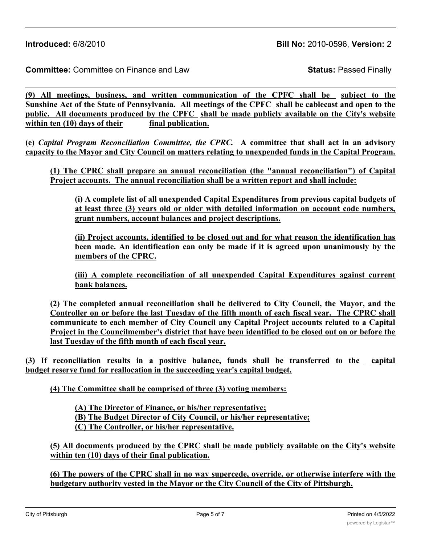**(9) All meetings, business, and written communication of the CPFC shall be subject to the** Sunshine Act of the State of Pennsylvania. All meetings of the CPFC shall be cablecast and open to the **public. All documents produced by the CPFC shall be made publicly available on the City's website within ten (10) days of their final publication.**

**(e)** *Capital Program Reconciliation Committee, the CPRC.* **A committee that shall act in an advisory capacity to the Mayor and City Council on matters relating to unexpended funds in the Capital Program.**

**(1) The CPRC shall prepare an annual reconciliation (the "annual reconciliation") of Capital Project accounts. The annual reconciliation shall be a written report and shall include:**

**(i) A complete list of all unexpended Capital Expenditures from previous capital budgets of at least three (3) years old or older with detailed information on account code numbers, grant numbers, account balances and project descriptions.**

**(ii) Project accounts, identified to be closed out and for what reason the identification has been made. An identification can only be made if it is agreed upon unanimously by the members of the CPRC.**

**(iii) A complete reconciliation of all unexpended Capital Expenditures against current bank balances.**

**(2) The completed annual reconciliation shall be delivered to City Council, the Mayor, and the Controller on or before the last Tuesday of the fifth month of each fiscal year. The CPRC shall communicate to each member of City Council any Capital Project accounts related to a Capital Project in the Councilmember's district that have been identified to be closed out on or before the last Tuesday of the fifth month of each fiscal year.**

**(3) If reconciliation results in a positive balance, funds shall be transferred to the capital budget reserve fund for reallocation in the succeeding year's capital budget.**

**(4) The Committee shall be comprised of three (3) voting members:**

**(A) The Director of Finance, or his/her representative; (B) The Budget Director of City Council, or his/her representative; (C) The Controller, or his/her representative.**

**(5) All documents produced by the CPRC shall be made publicly available on the City's website within ten (10) days of their final publication.**

**(6) The powers of the CPRC shall in no way supercede, override, or otherwise interfere with the budgetary authority vested in the Mayor or the City Council of the City of Pittsburgh.**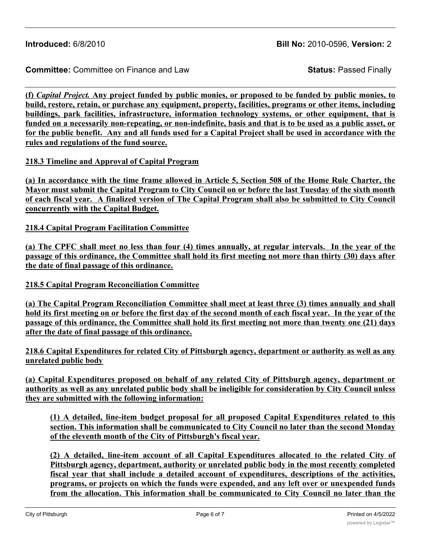(f) *Capital Project*. Any project funded by public monies, or proposed to be funded by public monies, to **build, restore, retain, or purchase any equipment, property, facilities, programs or other items, including buildings, park facilities, infrastructure, information technology systems, or other equipment, that is** funded on a necessarily non-repeating, or non-indefinite, basis and that is to be used as a public asset, or for the public benefit. Any and all funds used for a Capital Project shall be used in accordance with the **rules and regulations of the fund source.**

## **218.3 Timeline and Approval of Capital Program**

(a) In accordance with the time frame allowed in Article 5, Section 508 of the Home Rule Charter, the Mayor must submit the Capital Program to City Council on or before the last Tuesday of the sixth month of each fiscal year. A finalized version of The Capital Program shall also be submitted to City Council **concurrently with the Capital Budget.**

**218.4 Capital Program Facilitation Committee**

(a) The CPFC shall meet no less than four (4) times annually, at regular intervals. In the year of the passage of this ordinance, the Committee shall hold its first meeting not more than thirty (30) days after **the date of final passage of this ordinance.**

**218.5 Capital Program Reconciliation Committee**

**(a) The Capital Program Reconciliation Committee shall meet at least three (3) times annually and shall** hold its first meeting on or before the first day of the second month of each fiscal year. In the year of the passage of this ordinance, the Committee shall hold its first meeting not more than twenty one (21) days **after the date of final passage of this ordinance.**

**218.6 Capital Expenditures for related City of Pittsburgh agency, department or authority as well as any unrelated public body**

**(a) Capital Expenditures proposed on behalf of any related City of Pittsburgh agency, department or** authority as well as any unrelated public body shall be ineligible for consideration by City Council unless **they are submitted with the following information:**

**(1) A detailed, line-item budget proposal for all proposed Capital Expenditures related to this section. This information shall be communicated to City Council no later than the second Monday of the eleventh month of the City of Pittsburgh's fiscal year.**

**(2) A detailed, line-item account of all Capital Expenditures allocated to the related City of Pittsburgh agency, department, authority or unrelated public body in the most recently completed fiscal year that shall include a detailed account of expenditures, descriptions of the activities, programs, or projects on which the funds were expended, and any left over or unexpended funds from the allocation. This information shall be communicated to City Council no later than the**